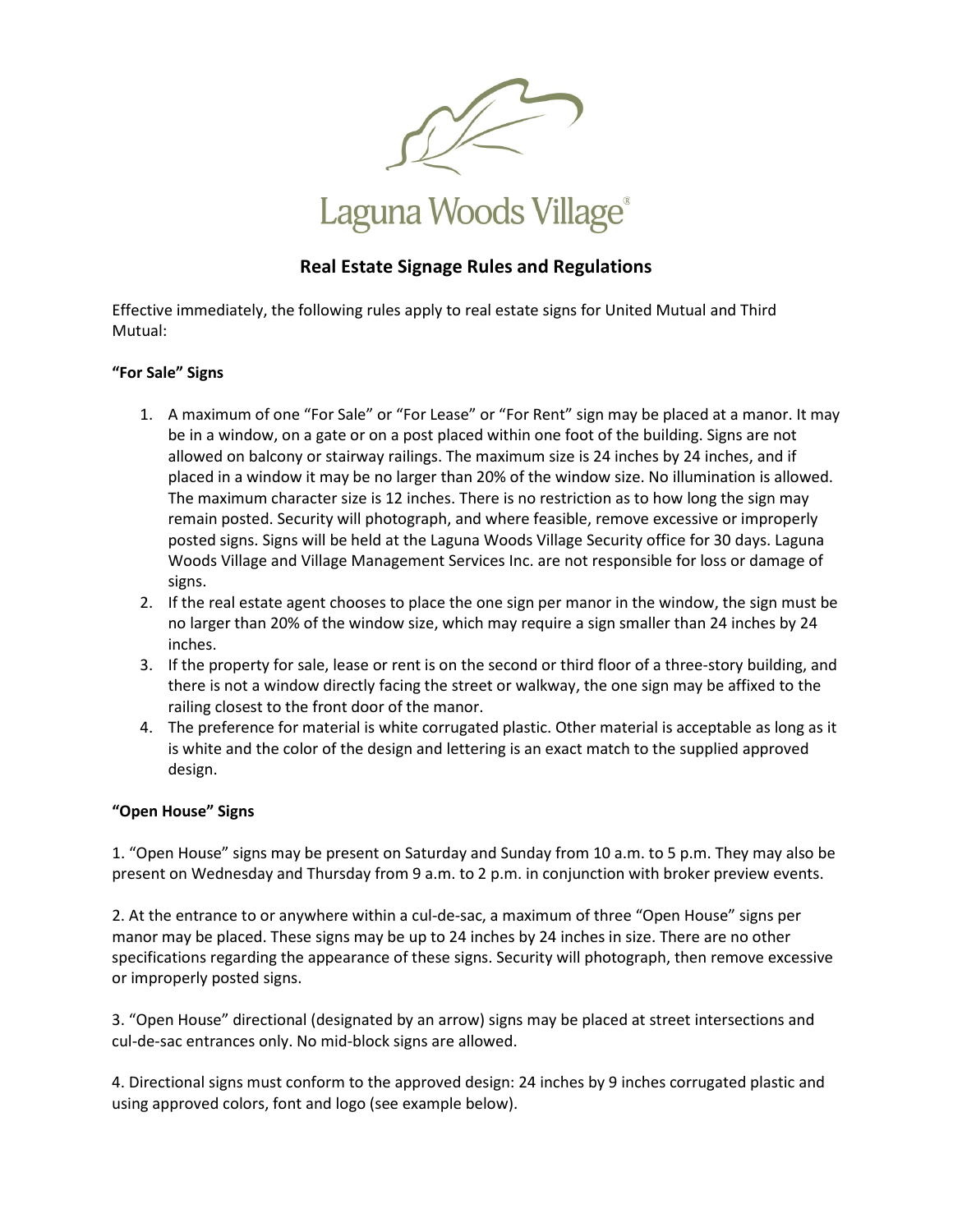

## Laguna Woods Village<sup>®</sup>

#### **Real Estate Signage Rules and Regulations**

Effective immediately, the following rules apply to real estate signs for United Mutual and Third Mutual:

#### **"For Sale" Signs**

- 1. A maximum of one "For Sale" or "For Lease" or "For Rent" sign may be placed at a manor. It may be in a window, on a gate or on a post placed within one foot of the building. Signs are not allowed on balcony or stairway railings. The maximum size is 24 inches by 24 inches, and if placed in a window it may be no larger than 20% of the window size. No illumination is allowed. The maximum character size is 12 inches. There is no restriction as to how long the sign may remain posted. Security will photograph, and where feasible, remove excessive or improperly posted signs. Signs will be held at the Laguna Woods Village Security office for 30 days. Laguna Woods Village and Village Management Services Inc. are not responsible for loss or damage of signs.
- 2. If the real estate agent chooses to place the one sign per manor in the window, the sign must be no larger than 20% of the window size, which may require a sign smaller than 24 inches by 24 inches.
- 3. If the property for sale, lease or rent is on the second or third floor of a three-story building, and there is not a window directly facing the street or walkway, the one sign may be affixed to the railing closest to the front door of the manor.
- 4. The preference for material is white corrugated plastic. Other material is acceptable as long as it is white and the color of the design and lettering is an exact match to the supplied approved design.

#### **"Open House" Signs**

1. "Open House" signs may be present on Saturday and Sunday from 10 a.m. to 5 p.m. They may also be present on Wednesday and Thursday from 9 a.m. to 2 p.m. in conjunction with broker preview events.

2. At the entrance to or anywhere within a cul-de-sac, a maximum of three "Open House" signs per manor may be placed. These signs may be up to 24 inches by 24 inches in size. There are no other specifications regarding the appearance of these signs. Security will photograph, then remove excessive or improperly posted signs.

3. "Open House" directional (designated by an arrow) signs may be placed at street intersections and cul-de-sac entrances only. No mid-block signs are allowed.

4. Directional signs must conform to the approved design: 24 inches by 9 inches corrugated plastic and using approved colors, font and logo (see example below).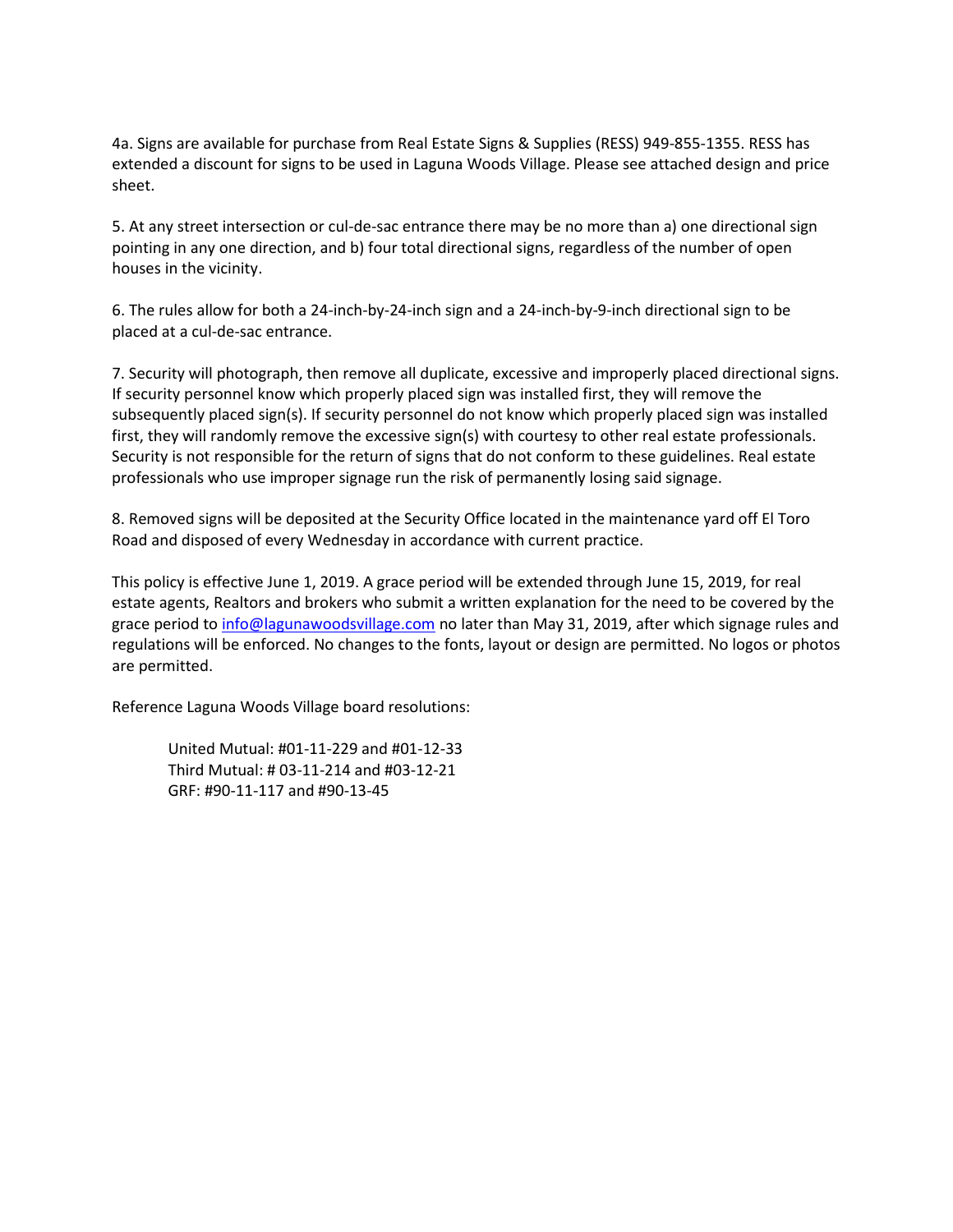4a. Signs are available for purchase from Real Estate Signs & Supplies (RESS) 949-855-1355. RESS has extended a discount for signs to be used in Laguna Woods Village. Please see attached design and price sheet.

5. At any street intersection or cul-de-sac entrance there may be no more than a) one directional sign pointing in any one direction, and b) four total directional signs, regardless of the number of open houses in the vicinity.

6. The rules allow for both a 24-inch-by-24-inch sign and a 24-inch-by-9-inch directional sign to be placed at a cul-de-sac entrance.

7. Security will photograph, then remove all duplicate, excessive and improperly placed directional signs. If security personnel know which properly placed sign was installed first, they will remove the subsequently placed sign(s). If security personnel do not know which properly placed sign was installed first, they will randomly remove the excessive sign(s) with courtesy to other real estate professionals. Security is not responsible for the return of signs that do not conform to these guidelines. Real estate professionals who use improper signage run the risk of permanently losing said signage.

8. Removed signs will be deposited at the Security Office located in the maintenance yard off El Toro Road and disposed of every Wednesday in accordance with current practice.

This policy is effective June 1, 2019. A grace period will be extended through June 15, 2019, for real estate agents, Realtors and brokers who submit a written explanation for the need to be covered by the grace period to [info@lagunawoodsvillage.com](mailto:info@lagunawoodsvillage.com) no later than May 31, 2019, after which signage rules and regulations will be enforced. No changes to the fonts, layout or design are permitted. No logos or photos are permitted.

Reference Laguna Woods Village board resolutions:

United Mutual: #01-11-229 and #01-12-33 Third Mutual: # 03-11-214 and #03-12-21 GRF: #90-11-117 and #90-13-45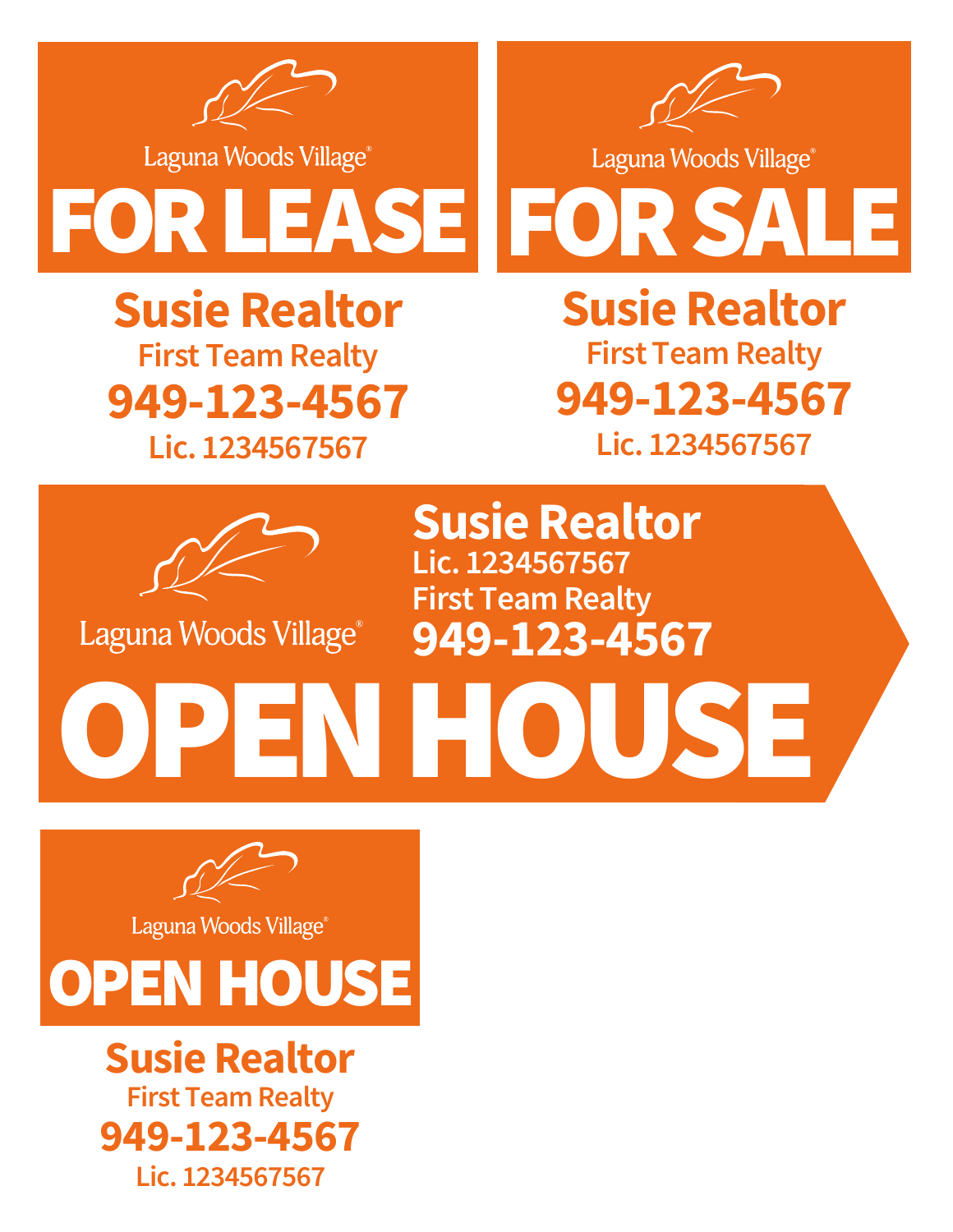

Laguna Woods Village®



Laguna Woods Village®





# **Susie Realtor First Team Realty 949-123-4567**

**Lic. 1234567567**

**Susie Realtor Lic. 1234567567 First Team Realty 949-123-4567**



Laguna Woods Village®

**Susie Realtor Lic. 1234567567 First Team Realty 949-123-4567**

OPENHOUSE

Laguna Woods Village®



**Susie Realtor Lic. 1234567567 First Team Realty 949-123-4567**